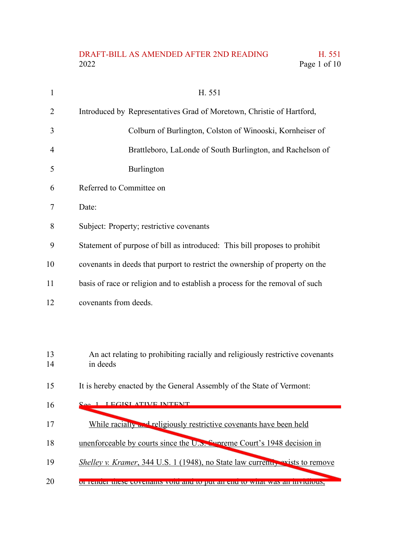## DRAFT-BILL AS AMENDED AFTER 2ND READING H. 551<br>2022 Page 1 of 10 Page 1 of 10

| $\mathbf{1}$ | H. 551                                                                                    |  |  |  |  |  |
|--------------|-------------------------------------------------------------------------------------------|--|--|--|--|--|
| 2            | Introduced by Representatives Grad of Moretown, Christie of Hartford,                     |  |  |  |  |  |
| 3            | Colburn of Burlington, Colston of Winooski, Kornheiser of                                 |  |  |  |  |  |
| 4            | Brattleboro, LaLonde of South Burlington, and Rachelson of                                |  |  |  |  |  |
| 5            | Burlington                                                                                |  |  |  |  |  |
| 6            | Referred to Committee on                                                                  |  |  |  |  |  |
| 7            | Date:                                                                                     |  |  |  |  |  |
| 8            | Subject: Property; restrictive covenants                                                  |  |  |  |  |  |
| 9            | Statement of purpose of bill as introduced: This bill proposes to prohibit                |  |  |  |  |  |
| 10           | covenants in deeds that purport to restrict the ownership of property on the              |  |  |  |  |  |
| 11           | basis of race or religion and to establish a process for the removal of such              |  |  |  |  |  |
| 12           | covenants from deeds.                                                                     |  |  |  |  |  |
|              |                                                                                           |  |  |  |  |  |
|              |                                                                                           |  |  |  |  |  |
| 13<br>14     | An act relating to prohibiting racially and religiously restrictive covenants<br>in deeds |  |  |  |  |  |
| 15           | It is hereby enacted by the General Assembly of the State of Vermont:                     |  |  |  |  |  |
| 16           | <u>1 I ECICI ATIVE INTENT</u>                                                             |  |  |  |  |  |
| 17           | While racially and religiously restrictive covenants have been held                       |  |  |  |  |  |
|              |                                                                                           |  |  |  |  |  |
| 18           | unenforceable by courts since the U.S. Sympeter Court's 1948 decision in                  |  |  |  |  |  |
| 19           | <i>Shelley v. Kramer</i> , 344 U.S. 1 (1948), no State law currently exists to remove     |  |  |  |  |  |
| 20           | or render these covenants void and to put an end to what was an invidious,                |  |  |  |  |  |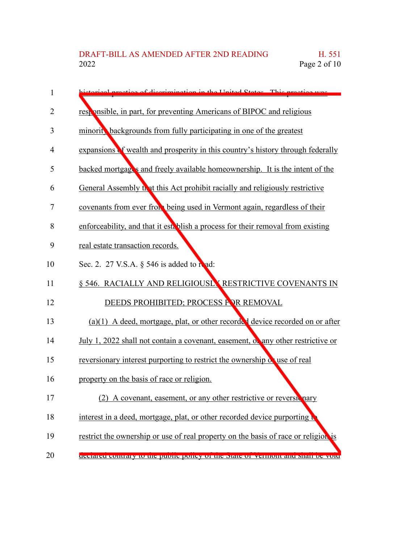| 1              | storical practice of discrimination in the United States. This practice was        |
|----------------|------------------------------------------------------------------------------------|
| $\overline{2}$ | responsible, in part, for preventing Americans of BIPOC and religious              |
| 3              | minorit, backgrounds from fully participating in one of the greatest               |
| 4              | expansions of wealth and prosperity in this country's history through federally    |
| 5              | backed mortgages and freely available homeownership. It is the intent of the       |
| 6              | General Assembly that this Act prohibit racially and religiously restrictive       |
| $\overline{7}$ | covenants from ever from being used in Vermont again, regardless of their          |
| 8              | enforceability, and that it est. blish a process for their removal from existing   |
| 9              | real estate transaction records.                                                   |
| 10             | Sec. 2. 27 V.S.A. § 546 is added to read:                                          |
| 11             | § 546. RACIALLY AND RELIGIOUSLY RESTRICTIVE COVENANTS IN                           |
| 12             | DEEDS PROHIBITED; PROCESS FOR REMOVAL                                              |
| 13             | $(a)(1)$ A deed, mortgage, plat, or other recorded device recorded on or after     |
| 14             | July 1, 2022 shall not contain a covenant, easement, or any other restrictive or   |
| 15             | reversionary interest purporting to restrict the ownership of use of real          |
| 16             | property on the basis of race or religion.                                         |
| 17             | (2) A covenant, easement, or any other restrictive or reversitinary                |
| 18             | interest in a deed, mortgage, plat, or other recorded device purporting to         |
| 19             | restrict the ownership or use of real property on the basis of race or religion is |
| 20             | deciated contrary to the public policy of the state of vermont and shall be vold   |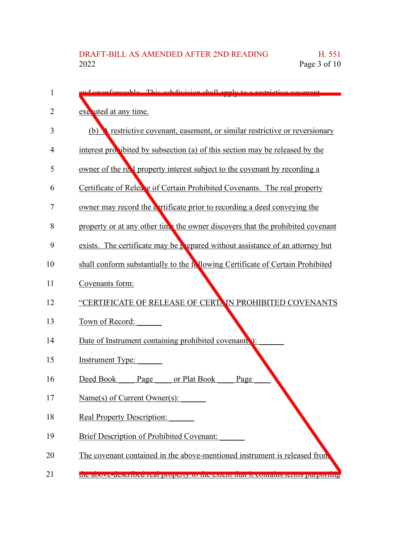| 1  | d unonforceable. This subdivision shall analy to a restrictive equator            |
|----|-----------------------------------------------------------------------------------|
| 2  | exe uted at any time.                                                             |
| 3  | restrictive covenant, easement, or similar restrictive or reversionary<br>(b)     |
| 4  | interest provibited by subsection (a) of this section may be released by the      |
| 5  | owner of the real property interest subject to the covenant by recording a        |
| 6  | Certificate of Relea e of Certain Prohibited Covenants. The real property         |
| 7  | owner may record the contracted prior to recording a deed conveying the           |
| 8  | property or at any other time the owner discovers that the prohibited covenant    |
| 9  | exists. The certificate may be prepared without assistance of an attorney but     |
| 10 | shall conform substantially to the following Certificate of Certain Prohibited    |
| 11 | Covenants form:                                                                   |
| 12 | "CERTIFICATE OF RELEASE OF CERTAIN PROHIBITED COVENANTS                           |
| 13 | Town of Record:                                                                   |
| 14 | Date of Instrument containing prohibited covenant                                 |
| 15 | <b>Instrument Type:</b>                                                           |
| 16 | Deed Book<br>or Plat Book<br>Page<br>Page                                         |
| 17 | Name(s) of Current Owner(s):                                                      |
| 18 | <b>Real Property Description:</b>                                                 |
| 19 | <b>Brief Description of Prohibited Covenant:</b>                                  |
| 20 | The covenant contained in the above-mentioned instrument is released from         |
| 21 | the above-described real property to the extent that it contains terms purporting |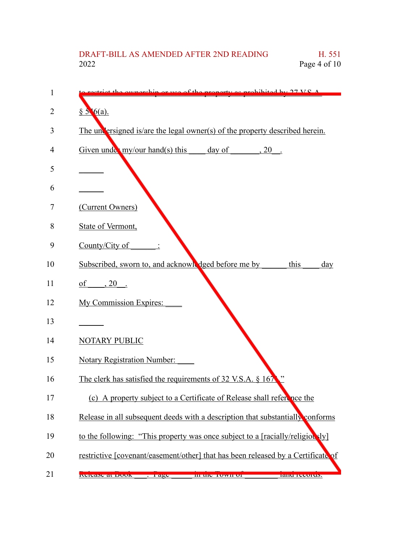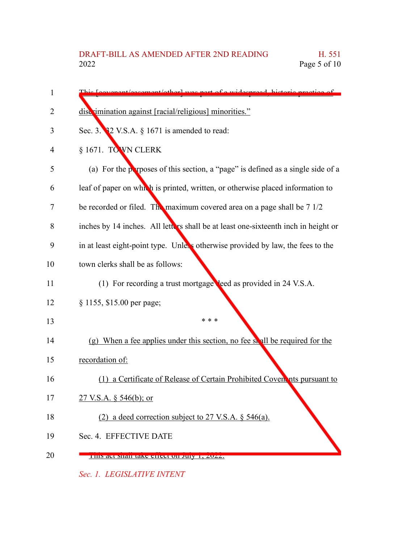| 1  | is Loovenant/essement/otherl was nort of a widespread historic prostice of         |
|----|------------------------------------------------------------------------------------|
| 2  | disc imination against [racial/religious] minorities."                             |
| 3  | Sec. 3. $32$ V.S.A. $\S$ 1671 is amended to read:                                  |
| 4  | § 1671. TOWN CLERK                                                                 |
| 5  | (a) For the perposes of this section, a "page" is defined as a single side of a    |
| 6  | leaf of paper on which is printed, written, or otherwise placed information to     |
| 7  | be recorded or filed. The maximum covered area on a page shall be 7 1/2            |
| 8  | inches by 14 inches. All letters shall be at least one-sixteenth inch in height or |
| 9  | in at least eight-point type. Unless otherwise provided by law, the fees to the    |
| 10 | town clerks shall be as follows:                                                   |
| 11 | (1) For recording a trust mortgage leed as provided in 24 V.S.A.                   |
| 12 | § 1155, \$15.00 per page;                                                          |
| 13 | * * *                                                                              |
| 14 | (g) When a fee applies under this section, no fee shall be required for the        |
| 15 | recordation of:                                                                    |
| 16 | (1) a Certificate of Release of Certain Prohibited Coven nts pursuant to           |
| 17 | 27 V.S.A. $\S$ 546(b); or                                                          |
| 18 | (2) a deed correction subject to 27 V.S.A. $\S$ 546(a).                            |
| 19 | Sec. 4. EFFECTIVE DATE                                                             |
| 20 | THIS act shall take effect on July 1, 2022.                                        |

*Sec. 1. LEGISLATIVE INTENT*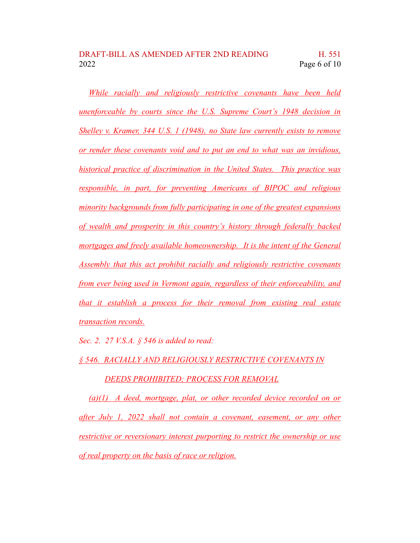*While racially and religiously restrictive covenants have been held unenforceable by courts since the U.S. Supreme Court's 1948 decision in Shelley v. Kramer, 344 U.S. 1 (1948), no State law currently exists to remove or render these covenants void and to put an end to what was an invidious, historical practice of discrimination in the United States. This practice was responsible, in part, for preventing Americans of BIPOC and religious minority backgrounds from fully participating in one of the greatest expansions of wealth and prosperity in this country's history through federally backed mortgages and freely available homeownership. It is the intent of the General Assembly that this act prohibit racially and religiously restrictive covenants from ever being used in Vermont again, regardless of their enforceability, and that it establish a process for their removal from existing real estate transaction records.*

*Sec. 2. 27 V.S.A. § 546 is added to read:*

*§ 546. RACIALLY AND RELIGIOUSLY RESTRICTIVE COVENANTS IN*

*DEEDS PROHIBITED; PROCESS FOR REMOVAL*

*(a)(1) A deed, mortgage, plat, or other recorded device recorded on or after July 1, 2022 shall not contain a covenant, easement, or any other restrictive or reversionary interest purporting to restrict the ownership or use of real property on the basis of race or religion.*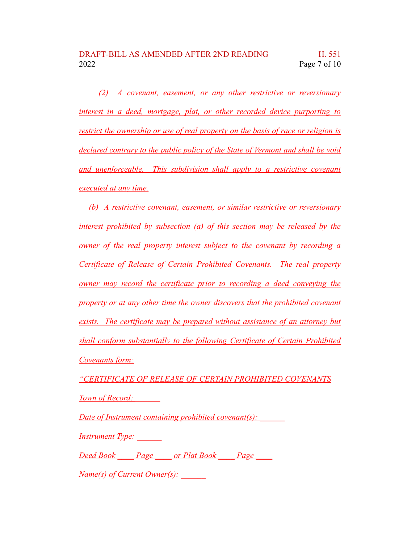*(2) A covenant, easement, or any other restrictive or reversionary interest in a deed, mortgage, plat, or other recorded device purporting to restrict the ownership or use of real property on the basis of race or religion is declared contrary to the public policy of the State of Vermont and shall be void and unenforceable. This subdivision shall apply to a restrictive covenant executed at any time.*

*(b) A restrictive covenant, easement, or similar restrictive or reversionary interest prohibited by subsection (a) of this section may be released by the owner of the real property interest subject to the covenant by recording a Certificate of Release of Certain Prohibited Covenants. The real property owner may record the certificate prior to recording a deed conveying the property or at any other time the owner discovers that the prohibited covenant exists. The certificate may be prepared without assistance of an attorney but shall conform substantially to the following Certificate of Certain Prohibited Covenants form:*

*"CERTIFICATE OF RELEASE OF CERTAIN PROHIBITED COVENANTS Town of Record: \_\_\_\_\_\_*

*Date of Instrument containing prohibited covenant(s)*:

*Instrument Type: \_\_\_\_\_\_*

*Deed Book \_\_\_\_ Page \_\_\_\_ or Plat Book \_\_\_\_ Page \_\_\_\_*

*Name(s) of Current Owner(s): \_\_\_\_\_\_*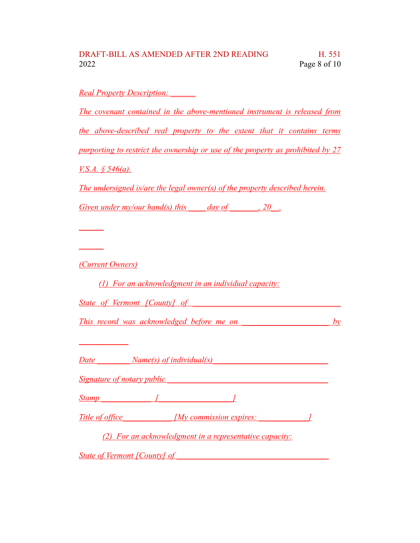## DRAFT-BILL AS AMENDED AFTER 2ND READING H. 551 2022 Page 8 of 10

*Real Property Description: \_\_\_\_\_\_ The covenant contained in the above-mentioned instrument is released from the above-described real property to the extent that it contains terms purporting to restrict the ownership or use of the property as prohibited by 27 V.S.A. § 546(a). The undersigned is/are the legal owner(s) of the property described herein. Given under my/our hand(s) this day of* , 20. *\_\_\_\_\_\_ \_\_\_\_\_\_ (Current Owners) (1) For an acknowledgment in an individual capacity: State of Vermont [County] of This record was acknowledged before me on \_\_\_\_\_\_\_\_\_\_\_\_\_\_\_\_\_\_\_\_\_ by \_\_\_\_\_\_\_\_\_\_\_\_ Date \_\_\_\_\_\_\_\_ Name(s) of individual(s)\_\_\_\_\_\_\_\_\_\_\_\_\_\_\_\_\_\_\_\_\_\_\_\_\_\_\_\_ Signature of notary public laterally defined as a set of <i>notary public Stamp \_\_\_\_\_\_\_\_\_\_\_\_ [\_\_\_\_\_\_\_\_\_\_\_\_\_\_\_\_\_\_] Title* of office  $\begin{bmatrix} My \text{ commission} \text{ expires:} \end{bmatrix}$ *(2) For an acknowledgment in a representative capacity: State* of *Vermont [County]* of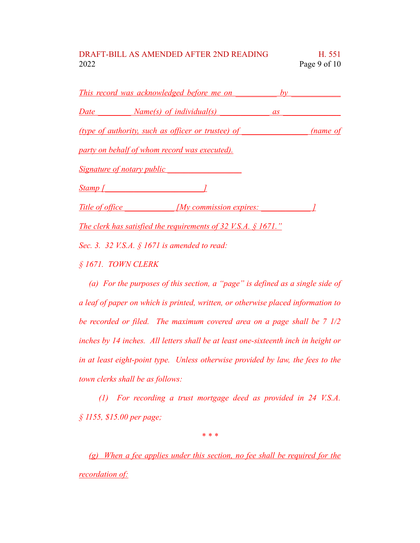## DRAFT-BILL AS AMENDED AFTER 2ND READING H. 551 2022 Page 9 of 10

|           | <u>This record was acknowledged before me on by</u>                        |          |
|-----------|----------------------------------------------------------------------------|----------|
|           | Date Name(s) of individual(s) as                                           |          |
|           | (type of authority, such as officer or trustee) of                         | (name of |
|           | party on behalf of whom record was executed).                              |          |
|           | <u>Signature of notary public Signature of notary public</u>               |          |
| $Stamp$ [ |                                                                            |          |
|           | Title of office My commission expires:                                     |          |
|           | The clerk has satisfied the requirements of 32 V.S.A. $\frac{6}{9}$ 1671." |          |
|           | Sec. 3. 32 V.S.A. § 1671 is amended to read:                               |          |

*§ 1671. TOWN CLERK*

*(a) For the purposes of this section, a "page" is defined as a single side of a leaf of paper on which is printed, written, or otherwise placed information to be recorded or filed. The maximum covered area on a page shall be 7 1/2 inches by 14 inches. All letters shall be at least one-sixteenth inch in height or in at least eight-point type. Unless otherwise provided by law, the fees to the town clerks shall be as follows:*

*(1) For recording a trust mortgage deed as provided in 24 V.S.A. § 1155, \$15.00 per page;*

*\* \* \**

*(g) When a fee applies under this section, no fee shall be required for the recordation of:*